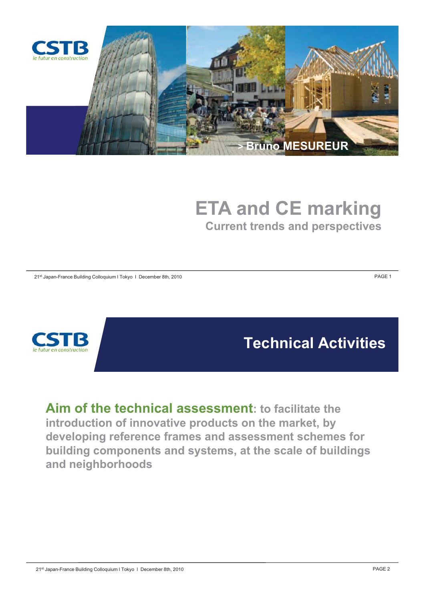

# **ETA and CE marking Current trends and perspectives**

21<sup>st</sup> Japan-France Building Colloquium I Tokyo I December 8th, 2010 **PAGE 1 PAGE 1** 



**Technical Activities**

**Aim of the technical assessment: to facilitate the introduction of innovative products on the market, by developing reference frames and assessment schemes for building components and systems, at the scale of buildings and neighborhoods**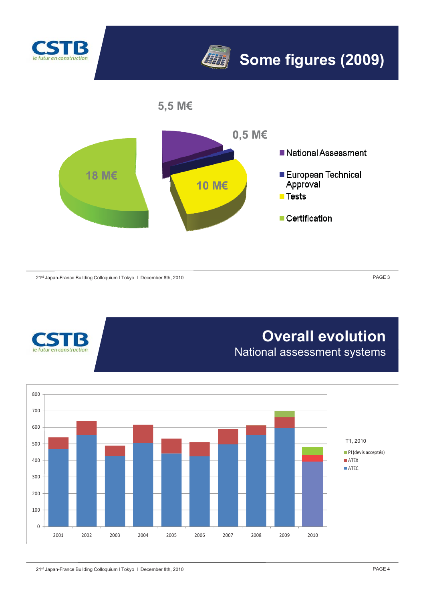



**5,5 M€**



21<sup>st</sup> Japan-France Building Colloquium I Tokyo I December 8th, 2010 **PAGE 3** PAGE 3



### **Overall evolution** National assessment systems

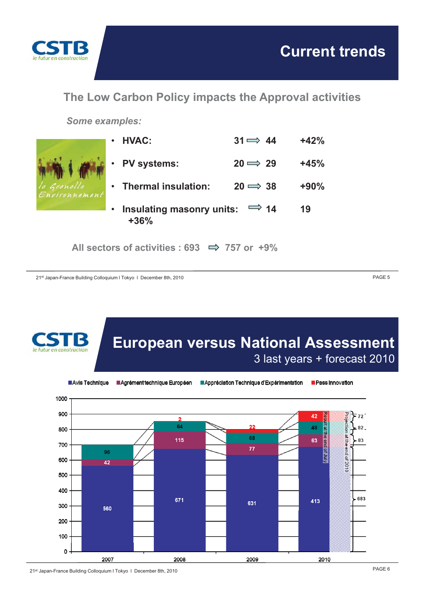

**The Low Carbon Policy impacts the Approval activities**

*Some examples:*



All sectors of activities :  $693 \implies 757$  or  $+9\%$ 

21<sup>st</sup> Japan-France Building Colloquium I Tokyo I December 8th, 2010 **PAGE 5** 



PAGE 6 21st Japan-France Building Colloquium l Tokyo l December 8th, 2010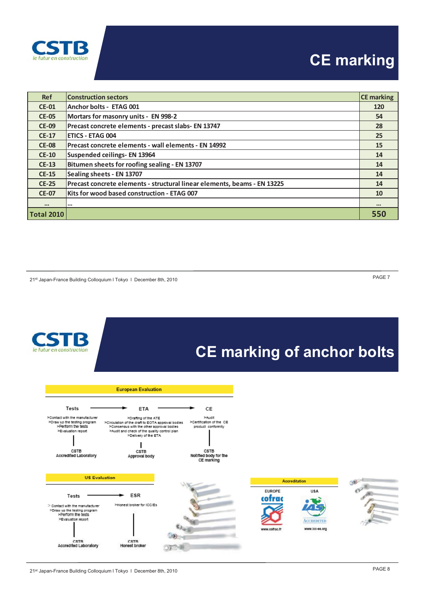

## **CE marking**

| <b>Ref</b>        | <b>Construction sectors</b>                                              | <b>CE</b> marking       |
|-------------------|--------------------------------------------------------------------------|-------------------------|
| <b>CE-01</b>      | Anchor bolts - ETAG 001                                                  | 120                     |
| <b>CE-05</b>      | Mortars for masonry units - EN 998-2                                     | 54                      |
| <b>CE-09</b>      | Precast concrete elements - precast slabs- EN 13747                      | 28                      |
| $CE-17$           | <b>ETICS - ETAG 004</b>                                                  | 25                      |
| <b>CE-08</b>      | Precast concrete elements - wall elements - EN 14992                     | 15                      |
| $CE-10$           | Suspended ceilings- EN 13964                                             | 14                      |
| $CE-13$           | Bitumen sheets for roofing sealing - EN 13707                            | 14                      |
| $CE-15$           | Sealing sheets - EN 13707                                                | 14                      |
| $CE-25$           | Precast concrete elements - structural linear elements, beams - EN 13225 | 14                      |
| <b>CE-07</b>      | Kits for wood based construction - ETAG 007                              | 10                      |
| $\cdots$          | $\cdots$                                                                 | $\bullet\bullet\bullet$ |
| <b>Total 2010</b> |                                                                          | 550                     |

PAGE 7 21st Japan-France Building Colloquium l Tokyo l December 8th, 2010

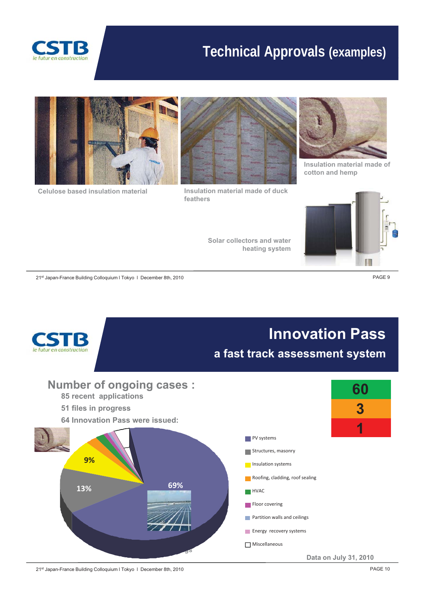

### **Technical Approvals (examples)**



**Celulose based insulation material Insulation material made of duck** 



**feathers**

**Solar collectors and water** 

**heating system g y**



**Insulation material made of cotton and hemp**



21<sup>st</sup> Japan-France Building Colloquium I Tokyo I December 8th, 2010 **PAGE 9** 



21<sup>st</sup> Japan-France Building Colloquium I Tokyo I December 8th, 2010 **PAGE 10** PAGE 10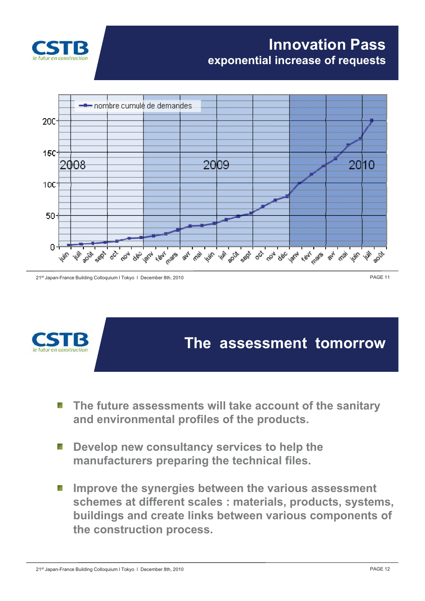

#### **Innovation Pass exponential increase of requests**



21st Japan-France Building Colloquium I Tokyo I December 8th, 2010 **PAGE 11 PAGE 11** 



#### **The assessment tomorrow**

- The future assessments will take account of the sanitary **and environmental profiles of the products.**
- **Develop new consultancy services to help the** g a **manufacturers preparing the technical files.**
- Improve the synergies between the various assessment **schemes at different scales : materials, products, systems, buildings and create links between various components of the construction process.**